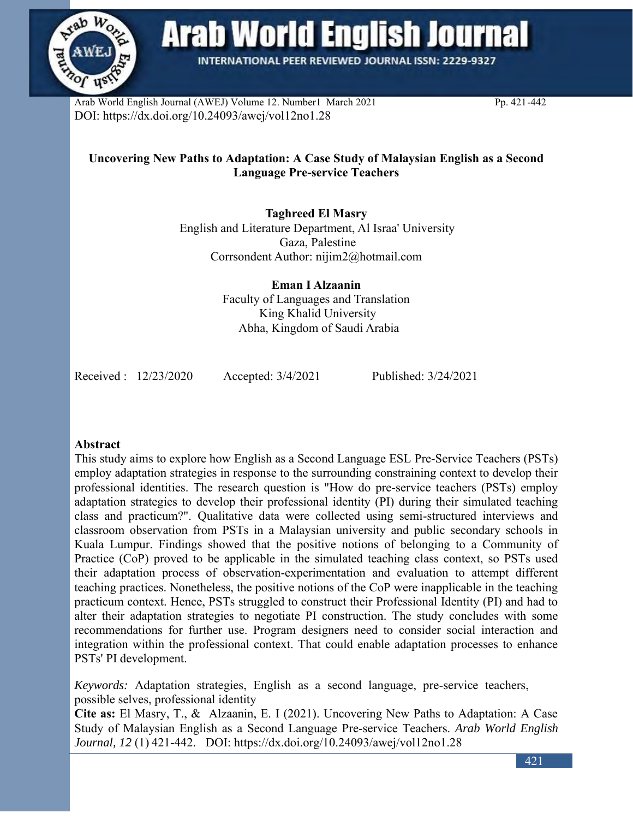

**Arab World English Journal** 

**INTERNATIONAL PEER REVIEWED JOURNAL ISSN: 2229-9327** 

Arab World English Journal (AWEJ) Volume 12. Number1 March 2021 Pp. 421-442 DOI: https://dx.doi.org/10.24093/awej/vol12no1.28

# **Uncovering New Paths to Adaptation: A Case Study of Malaysian English as a Second Language Pre-service Teachers**

**Taghreed El Masry**  English and Literature Department, Al Israa' University Gaza, Palestine Corrsondent Author: [nijim2@hotmail.com](mailto:nijim2@hotmail.com)

> **Eman I Alzaanin**  Faculty of Languages and Translation King Khalid University Abha, Kingdom of Saudi Arabia

Received : 12/23/2020 Accepted: 3/4/2021 Published: 3/24/2021

## **Abstract**

This study aims to explore how English as a Second Language ESL Pre-Service Teachers (PSTs) employ adaptation strategies in response to the surrounding constraining context to develop their professional identities. The research question is "How do pre-service teachers (PSTs) employ adaptation strategies to develop their professional identity (PI) during their simulated teaching class and practicum?". Qualitative data were collected using semi-structured interviews and classroom observation from PSTs in a Malaysian university and public secondary schools in Kuala Lumpur. Findings showed that the positive notions of belonging to a Community of Practice (CoP) proved to be applicable in the simulated teaching class context, so PSTs used their adaptation process of observation-experimentation and evaluation to attempt different teaching practices. Nonetheless, the positive notions of the CoP were inapplicable in the teaching practicum context. Hence, PSTs struggled to construct their Professional Identity (PI) and had to alter their adaptation strategies to negotiate PI construction. The study concludes with some recommendations for further use. Program designers need to consider social interaction and integration within the professional context. That could enable adaptation processes to enhance PSTs' PI development.

*Keywords:* Adaptation strategies, English as a second language, pre-service teachers, possible selves, professional identity

**Cite as:** El Masry, T., & Alzaanin, E. I (2021). Uncovering New Paths to Adaptation: A Case Study of Malaysian English as a Second Language Pre-service Teachers. *Arab World English Journal, 12* (1) 421-442. DOI: https://dx.doi.org/10.24093/awej/vol12no1.28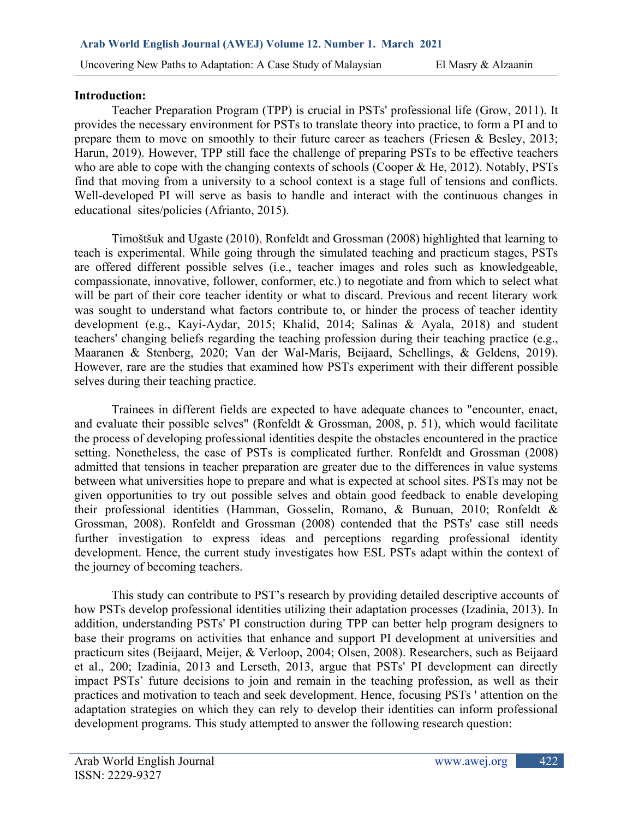## **Introduction:**

Teacher Preparation Program (TPP) is crucial in PSTs' professional life (Grow, 2011). It provides the necessary environment for PSTs to translate theory into practice, to form a PI and to prepare them to move on smoothly to their future career as teachers (Friesen & Besley, 2013; Harun, 2019). However, TPP still face the challenge of preparing PSTs to be effective teachers who are able to cope with the changing contexts of schools (Cooper & He, 2012). Notably, PSTs find that moving from a university to a school context is a stage full of tensions and conflicts. Well-developed PI will serve as basis to handle and interact with the continuous changes in educational sites/policies (Afrianto, 2015).

Timoštšuk and Ugaste (2010), Ronfeldt and Grossman (2008) highlighted that learning to teach is experimental. While going through the simulated teaching and practicum stages, PSTs are offered different possible selves (i.e., teacher images and roles such as knowledgeable, compassionate, innovative, follower, conformer, etc.) to negotiate and from which to select what will be part of their core teacher identity or what to discard. Previous and recent literary work was sought to understand what factors contribute to, or hinder the process of teacher identity development (e.g., Kayi-Aydar, 2015; Khalid, 2014; Salinas & Ayala, 2018) and student teachers' changing beliefs regarding the teaching profession during their teaching practice (e.g., Maaranen & Stenberg, 2020; Van der Wal-Maris, Beijaard, Schellings, & Geldens, 2019). However, rare are the studies that examined how PSTs experiment with their different possible selves during their teaching practice.

Trainees in different fields are expected to have adequate chances to "encounter, enact, and evaluate their possible selves" (Ronfeldt  $& Grossman, 2008, p. 51$ ), which would facilitate the process of developing professional identities despite the obstacles encountered in the practice setting. Nonetheless, the case of PSTs is complicated further. Ronfeldt and Grossman (2008) admitted that tensions in teacher preparation are greater due to the differences in value systems between what universities hope to prepare and what is expected at school sites. PSTs may not be given opportunities to try out possible selves and obtain good feedback to enable developing their professional identities (Hamman, Gosselin, Romano, & Bunuan, 2010; Ronfeldt & Grossman, 2008). Ronfeldt and Grossman (2008) contended that the PSTs' case still needs further investigation to express ideas and perceptions regarding professional identity development. Hence, the current study investigates how ESL PSTs adapt within the context of the journey of becoming teachers.

This study can contribute to PST's research by providing detailed descriptive accounts of how PSTs develop professional identities utilizing their adaptation processes (Izadinia, 2013). In addition, understanding PSTs' PI construction during TPP can better help program designers to base their programs on activities that enhance and support PI development at universities and practicum sites (Beijaard, Meijer, & Verloop, 2004; Olsen, 2008). Researchers, such as Beijaard et al., 200; Izadinia, 2013 and Lerseth, 2013, argue that PSTs' PI development can directly impact PSTs' future decisions to join and remain in the teaching profession, as well as their practices and motivation to teach and seek development. Hence, focusing PSTs ' attention on the adaptation strategies on which they can rely to develop their identities can inform professional development programs. This study attempted to answer the following research question: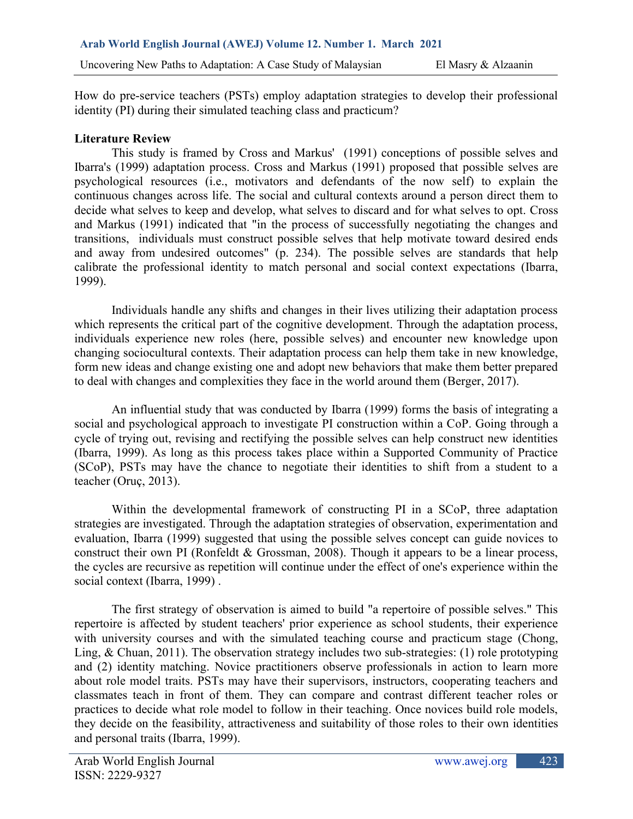How do pre-service teachers (PSTs) employ adaptation strategies to develop their professional identity (PI) during their simulated teaching class and practicum?

## **Literature Review**

This study is framed by Cross and Markus' (1991) conceptions of possible selves and Ibarra's (1999) adaptation process. Cross and Markus (1991) proposed that possible selves are psychological resources (i.e., motivators and defendants of the now self) to explain the continuous changes across life. The social and cultural contexts around a person direct them to decide what selves to keep and develop, what selves to discard and for what selves to opt. Cross and Markus (1991) indicated that "in the process of successfully negotiating the changes and transitions, individuals must construct possible selves that help motivate toward desired ends and away from undesired outcomes" (p. 234). The possible selves are standards that help calibrate the professional identity to match personal and social context expectations (Ibarra, 1999).

Individuals handle any shifts and changes in their lives utilizing their adaptation process which represents the critical part of the cognitive development. Through the adaptation process, individuals experience new roles (here, possible selves) and encounter new knowledge upon changing sociocultural contexts. Their adaptation process can help them take in new knowledge, form new ideas and change existing one and adopt new behaviors that make them better prepared to deal with changes and complexities they face in the world around them (Berger, 2017).

An influential study that was conducted by Ibarra (1999) forms the basis of integrating a social and psychological approach to investigate PI construction within a CoP. Going through a cycle of trying out, revising and rectifying the possible selves can help construct new identities (Ibarra, 1999). As long as this process takes place within a Supported Community of Practice (SCoP), PSTs may have the chance to negotiate their identities to shift from a student to a teacher (Oruç, 2013).

Within the developmental framework of constructing PI in a SCoP, three adaptation strategies are investigated. Through the adaptation strategies of observation, experimentation and evaluation, Ibarra (1999) suggested that using the possible selves concept can guide novices to construct their own PI (Ronfeldt & Grossman, 2008). Though it appears to be a linear process, the cycles are recursive as repetition will continue under the effect of one's experience within the social context (Ibarra, 1999) .

The first strategy of observation is aimed to build "a repertoire of possible selves." This repertoire is affected by student teachers' prior experience as school students, their experience with university courses and with the simulated teaching course and practicum stage (Chong, Ling, & Chuan, 2011). The observation strategy includes two sub-strategies: (1) role prototyping and (2) identity matching. Novice practitioners observe professionals in action to learn more about role model traits. PSTs may have their supervisors, instructors, cooperating teachers and classmates teach in front of them. They can compare and contrast different teacher roles or practices to decide what role model to follow in their teaching. Once novices build role models, they decide on the feasibility, attractiveness and suitability of those roles to their own identities and personal traits (Ibarra, 1999).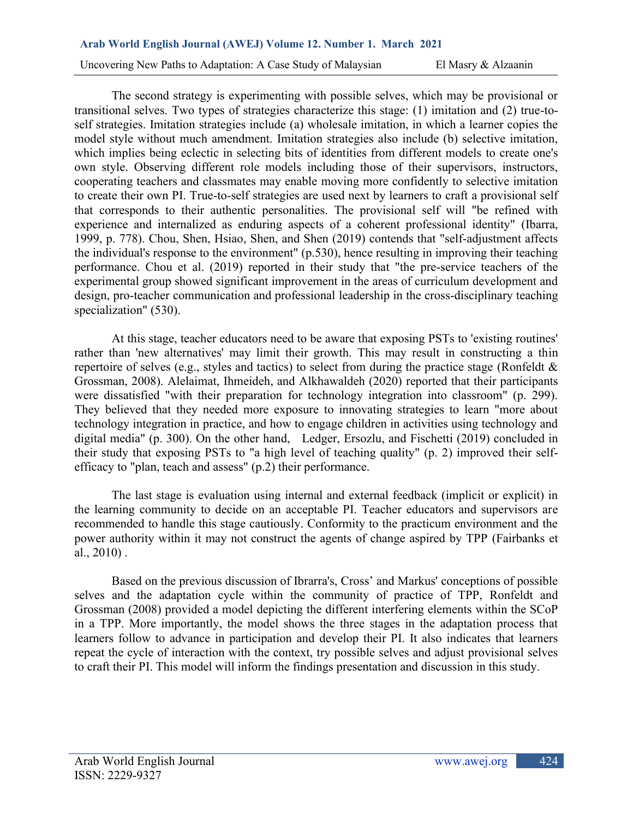The second strategy is experimenting with possible selves, which may be provisional or transitional selves. Two types of strategies characterize this stage: (1) imitation and (2) true-toself strategies. Imitation strategies include (a) wholesale imitation, in which a learner copies the model style without much amendment. Imitation strategies also include (b) selective imitation, which implies being eclectic in selecting bits of identities from different models to create one's own style. Observing different role models including those of their supervisors, instructors, cooperating teachers and classmates may enable moving more confidently to selective imitation to create their own PI. True-to-self strategies are used next by learners to craft a provisional self that corresponds to their authentic personalities. The provisional self will "be refined with experience and internalized as enduring aspects of a coherent professional identity" (Ibarra, 1999, p. 778). Chou, Shen, Hsiao, Shen, and Shen (2019) contends that "self-adjustment affects the individual's response to the environment" (p.530), hence resulting in improving their teaching performance. Chou et al. (2019) reported in their study that "the pre-service teachers of the experimental group showed significant improvement in the areas of curriculum development and design, pro-teacher communication and professional leadership in the cross-disciplinary teaching specialization" (530).

At this stage, teacher educators need to be aware that exposing PSTs to 'existing routines' rather than 'new alternatives' may limit their growth. This may result in constructing a thin repertoire of selves (e.g., styles and tactics) to select from during the practice stage (Ronfeldt & Grossman, 2008). Alelaimat, Ihmeideh, and Alkhawaldeh (2020) reported that their participants were dissatisfied "with their preparation for technology integration into classroom" (p. 299). They believed that they needed more exposure to innovating strategies to learn "more about technology integration in practice, and how to engage children in activities using technology and digital media" (p. 300). On the other hand, Ledger, Ersozlu, and Fischetti (2019) concluded in their study that exposing PSTs to "a high level of teaching quality" (p. 2) improved their selfefficacy to "plan, teach and assess" (p.2) their performance.

The last stage is evaluation using internal and external feedback (implicit or explicit) in the learning community to decide on an acceptable PI. Teacher educators and supervisors are recommended to handle this stage cautiously. Conformity to the practicum environment and the power authority within it may not construct the agents of change aspired by TPP (Fairbanks et al., 2010) .

Based on the previous discussion of Ibrarra's, Cross' and Markus' conceptions of possible selves and the adaptation cycle within the community of practice of TPP, Ronfeldt and Grossman (2008) provided a model depicting the different interfering elements within the SCoP in a TPP. More importantly, the model shows the three stages in the adaptation process that learners follow to advance in participation and develop their PI. It also indicates that learners repeat the cycle of interaction with the context, try possible selves and adjust provisional selves to craft their PI. This model will inform the findings presentation and discussion in this study.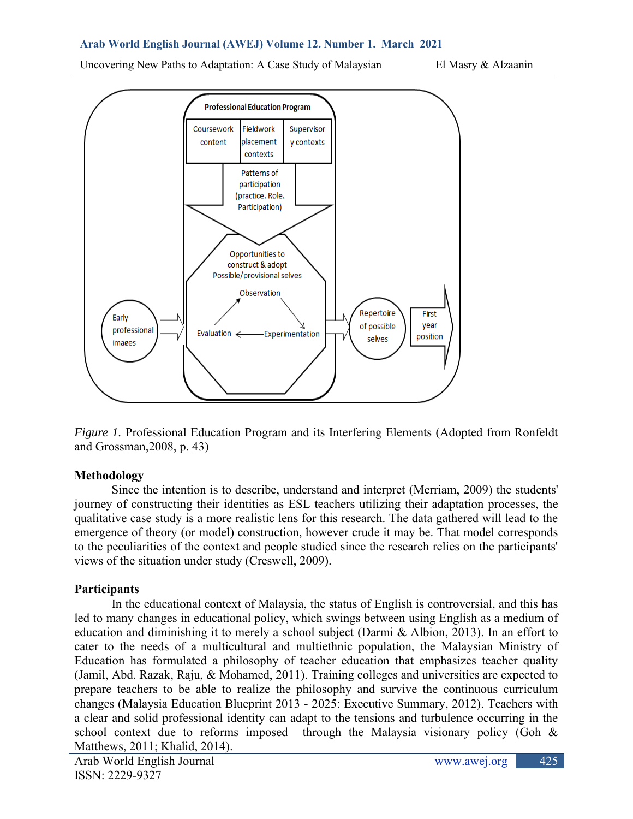Uncovering New Paths to Adaptation: A Case Study of Malaysian El Masry & Alzaanin



*Figure 1.* Professional Education Program and its Interfering Elements (Adopted from Ronfeldt) and Grossman,2008, p. 43)

# **Methodology**

Since the intention is to describe, understand and interpret (Merriam, 2009) the students' journey of constructing their identities as ESL teachers utilizing their adaptation processes, the qualitative case study is a more realistic lens for this research. The data gathered will lead to the emergence of theory (or model) construction, however crude it may be. That model corresponds to the peculiarities of the context and people studied since the research relies on the participants' views of the situation under study (Creswell, 2009).

# **Participants**

In the educational context of Malaysia, the status of English is controversial, and this has led to many changes in educational policy, which swings between using English as a medium of education and diminishing it to merely a school subject (Darmi & Albion, 2013). In an effort to cater to the needs of a multicultural and multiethnic population, the Malaysian Ministry of Education has formulated a philosophy of teacher education that emphasizes teacher quality (Jamil, Abd. Razak, Raju, & Mohamed, 2011). Training colleges and universities are expected to prepare teachers to be able to realize the philosophy and survive the continuous curriculum changes (Malaysia Education Blueprint 2013 - 2025: Executive Summary, 2012). Teachers with a clear and solid professional identity can adapt to the tensions and turbulence occurring in the school context due to reforms imposed through the Malaysia visionary policy (Goh  $\&$ Matthews, 2011; Khalid, 2014).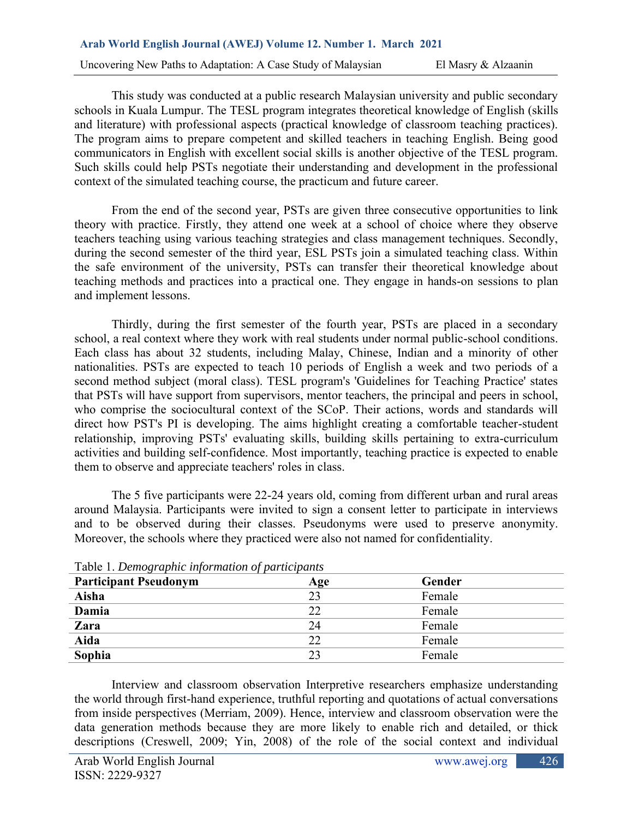This study was conducted at a public research Malaysian university and public secondary schools in Kuala Lumpur. The TESL program integrates theoretical knowledge of English (skills and literature) with professional aspects (practical knowledge of classroom teaching practices). The program aims to prepare competent and skilled teachers in teaching English. Being good communicators in English with excellent social skills is another objective of the TESL program. Such skills could help PSTs negotiate their understanding and development in the professional context of the simulated teaching course, the practicum and future career.

From the end of the second year, PSTs are given three consecutive opportunities to link theory with practice. Firstly, they attend one week at a school of choice where they observe teachers teaching using various teaching strategies and class management techniques. Secondly, during the second semester of the third year, ESL PSTs join a simulated teaching class. Within the safe environment of the university, PSTs can transfer their theoretical knowledge about teaching methods and practices into a practical one. They engage in hands-on sessions to plan and implement lessons.

Thirdly, during the first semester of the fourth year, PSTs are placed in a secondary school, a real context where they work with real students under normal public-school conditions. Each class has about 32 students, including Malay, Chinese, Indian and a minority of other nationalities. PSTs are expected to teach 10 periods of English a week and two periods of a second method subject (moral class). TESL program's 'Guidelines for Teaching Practice' states that PSTs will have support from supervisors, mentor teachers, the principal and peers in school, who comprise the sociocultural context of the SCoP. Their actions, words and standards will direct how PST's PI is developing. The aims highlight creating a comfortable teacher-student relationship, improving PSTs' evaluating skills, building skills pertaining to extra-curriculum activities and building self-confidence. Most importantly, teaching practice is expected to enable them to observe and appreciate teachers' roles in class.

The 5 five participants were 22-24 years old, coming from different urban and rural areas around Malaysia. Participants were invited to sign a consent letter to participate in interviews and to be observed during their classes. Pseudonyms were used to preserve anonymity. Moreover, the schools where they practiced were also not named for confidentiality.

| Lavic 1. Demographic information of participants |     |        |  |  |
|--------------------------------------------------|-----|--------|--|--|
| <b>Participant Pseudonym</b>                     | Age | Gender |  |  |
| Aisha                                            | 23  | Female |  |  |
| Damia                                            | 22  | Female |  |  |
| Zara                                             | 24  | Female |  |  |
| Aida                                             | 22  | Female |  |  |
| Sophia                                           |     | Female |  |  |

Table 1. *Demographic information of participants*

Interview and classroom observation Interpretive researchers emphasize understanding the world through first-hand experience, truthful reporting and quotations of actual conversations from inside perspectives (Merriam, 2009). Hence, interview and classroom observation were the data generation methods because they are more likely to enable rich and detailed, or thick descriptions (Creswell, 2009; Yin, 2008) of the role of the social context and individual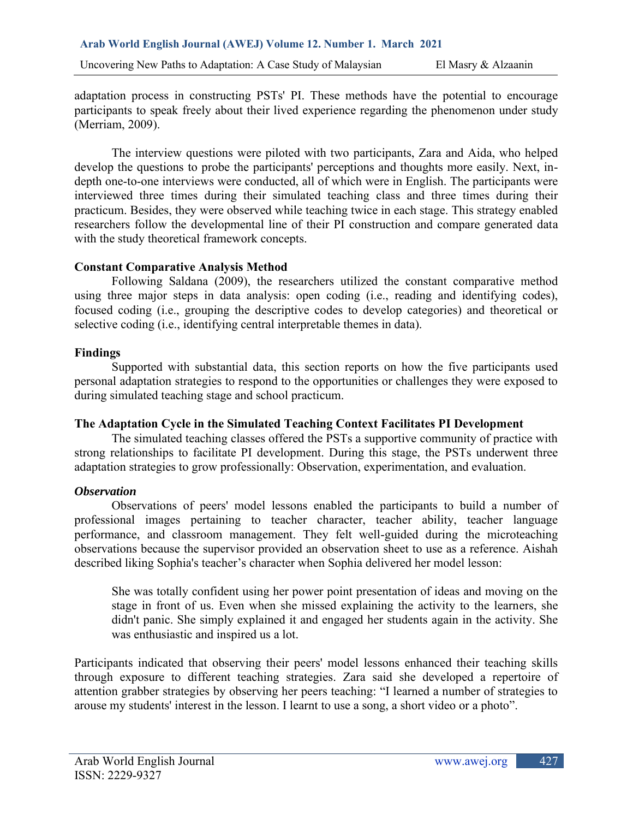adaptation process in constructing PSTs' PI. These methods have the potential to encourage participants to speak freely about their lived experience regarding the phenomenon under study (Merriam, 2009).

The interview questions were piloted with two participants, Zara and Aida, who helped develop the questions to probe the participants' perceptions and thoughts more easily. Next, indepth one-to-one interviews were conducted, all of which were in English. The participants were interviewed three times during their simulated teaching class and three times during their practicum. Besides, they were observed while teaching twice in each stage. This strategy enabled researchers follow the developmental line of their PI construction and compare generated data with the study theoretical framework concepts.

## **Constant Comparative Analysis Method**

Following Saldana (2009), the researchers utilized the constant comparative method using three major steps in data analysis: open coding (i.e., reading and identifying codes), focused coding (i.e., grouping the descriptive codes to develop categories) and theoretical or selective coding (i.e., identifying central interpretable themes in data).

## **Findings**

Supported with substantial data, this section reports on how the five participants used personal adaptation strategies to respond to the opportunities or challenges they were exposed to during simulated teaching stage and school practicum.

# **The Adaptation Cycle in the Simulated Teaching Context Facilitates PI Development**

The simulated teaching classes offered the PSTs a supportive community of practice with strong relationships to facilitate PI development. During this stage, the PSTs underwent three adaptation strategies to grow professionally: Observation, experimentation, and evaluation.

# *Observation*

Observations of peers' model lessons enabled the participants to build a number of professional images pertaining to teacher character, teacher ability, teacher language performance, and classroom management. They felt well-guided during the microteaching observations because the supervisor provided an observation sheet to use as a reference. Aishah described liking Sophia's teacher's character when Sophia delivered her model lesson:

She was totally confident using her power point presentation of ideas and moving on the stage in front of us. Even when she missed explaining the activity to the learners, she didn't panic. She simply explained it and engaged her students again in the activity. She was enthusiastic and inspired us a lot.

Participants indicated that observing their peers' model lessons enhanced their teaching skills through exposure to different teaching strategies. Zara said she developed a repertoire of attention grabber strategies by observing her peers teaching: "I learned a number of strategies to arouse my students' interest in the lesson. I learnt to use a song, a short video or a photo".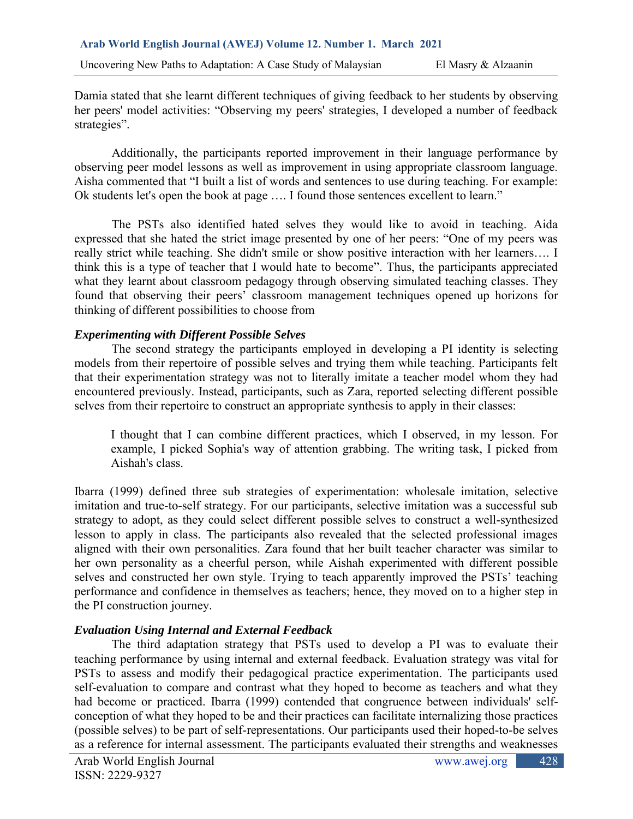Damia stated that she learnt different techniques of giving feedback to her students by observing her peers' model activities: "Observing my peers' strategies, I developed a number of feedback strategies".

Additionally, the participants reported improvement in their language performance by observing peer model lessons as well as improvement in using appropriate classroom language. Aisha commented that "I built a list of words and sentences to use during teaching. For example: Ok students let's open the book at page …. I found those sentences excellent to learn."

The PSTs also identified hated selves they would like to avoid in teaching. Aida expressed that she hated the strict image presented by one of her peers: "One of my peers was really strict while teaching. She didn't smile or show positive interaction with her learners…. I think this is a type of teacher that I would hate to become". Thus, the participants appreciated what they learnt about classroom pedagogy through observing simulated teaching classes. They found that observing their peers' classroom management techniques opened up horizons for thinking of different possibilities to choose from

# *Experimenting with Different Possible Selves*

The second strategy the participants employed in developing a PI identity is selecting models from their repertoire of possible selves and trying them while teaching. Participants felt that their experimentation strategy was not to literally imitate a teacher model whom they had encountered previously. Instead, participants, such as Zara, reported selecting different possible selves from their repertoire to construct an appropriate synthesis to apply in their classes:

I thought that I can combine different practices, which I observed, in my lesson. For example, I picked Sophia's way of attention grabbing. The writing task, I picked from Aishah's class.

Ibarra (1999) defined three sub strategies of experimentation: wholesale imitation, selective imitation and true-to-self strategy. For our participants, selective imitation was a successful sub strategy to adopt, as they could select different possible selves to construct a well-synthesized lesson to apply in class. The participants also revealed that the selected professional images aligned with their own personalities. Zara found that her built teacher character was similar to her own personality as a cheerful person, while Aishah experimented with different possible selves and constructed her own style. Trying to teach apparently improved the PSTs' teaching performance and confidence in themselves as teachers; hence, they moved on to a higher step in the PI construction journey.

# *Evaluation Using Internal and External Feedback*

The third adaptation strategy that PSTs used to develop a PI was to evaluate their teaching performance by using internal and external feedback. Evaluation strategy was vital for PSTs to assess and modify their pedagogical practice experimentation. The participants used self-evaluation to compare and contrast what they hoped to become as teachers and what they had become or practiced. Ibarra (1999) contended that congruence between individuals' selfconception of what they hoped to be and their practices can facilitate internalizing those practices (possible selves) to be part of self-representations. Our participants used their hoped-to-be selves as a reference for internal assessment. The participants evaluated their strengths and weaknesses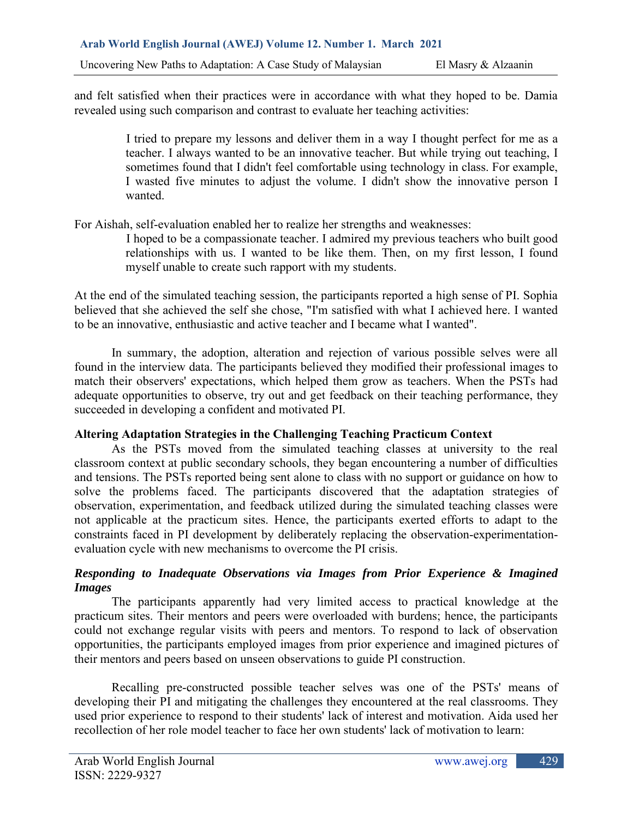and felt satisfied when their practices were in accordance with what they hoped to be. Damia revealed using such comparison and contrast to evaluate her teaching activities:

> I tried to prepare my lessons and deliver them in a way I thought perfect for me as a teacher. I always wanted to be an innovative teacher. But while trying out teaching, I sometimes found that I didn't feel comfortable using technology in class. For example, I wasted five minutes to adjust the volume. I didn't show the innovative person I wanted.

For Aishah, self-evaluation enabled her to realize her strengths and weaknesses:

I hoped to be a compassionate teacher. I admired my previous teachers who built good relationships with us. I wanted to be like them. Then, on my first lesson, I found myself unable to create such rapport with my students.

At the end of the simulated teaching session, the participants reported a high sense of PI. Sophia believed that she achieved the self she chose, "I'm satisfied with what I achieved here. I wanted to be an innovative, enthusiastic and active teacher and I became what I wanted".

In summary, the adoption, alteration and rejection of various possible selves were all found in the interview data. The participants believed they modified their professional images to match their observers' expectations, which helped them grow as teachers. When the PSTs had adequate opportunities to observe, try out and get feedback on their teaching performance, they succeeded in developing a confident and motivated PI.

# **Altering Adaptation Strategies in the Challenging Teaching Practicum Context**

As the PSTs moved from the simulated teaching classes at university to the real classroom context at public secondary schools, they began encountering a number of difficulties and tensions. The PSTs reported being sent alone to class with no support or guidance on how to solve the problems faced. The participants discovered that the adaptation strategies of observation, experimentation, and feedback utilized during the simulated teaching classes were not applicable at the practicum sites. Hence, the participants exerted efforts to adapt to the constraints faced in PI development by deliberately replacing the observation-experimentationevaluation cycle with new mechanisms to overcome the PI crisis.

# *Responding to Inadequate Observations via Images from Prior Experience & Imagined Images*

The participants apparently had very limited access to practical knowledge at the practicum sites. Their mentors and peers were overloaded with burdens; hence, the participants could not exchange regular visits with peers and mentors. To respond to lack of observation opportunities, the participants employed images from prior experience and imagined pictures of their mentors and peers based on unseen observations to guide PI construction.

Recalling pre-constructed possible teacher selves was one of the PSTs' means of developing their PI and mitigating the challenges they encountered at the real classrooms. They used prior experience to respond to their students' lack of interest and motivation. Aida used her recollection of her role model teacher to face her own students' lack of motivation to learn: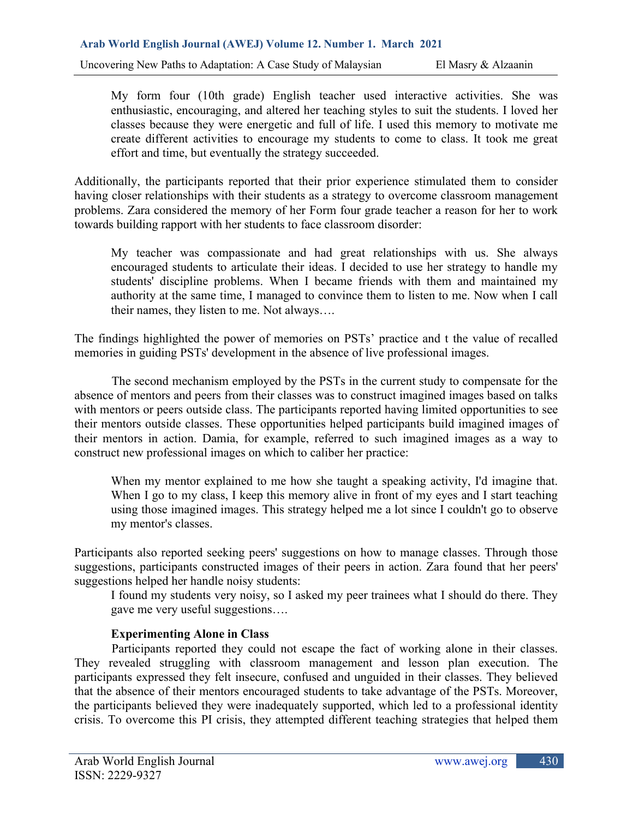My form four (10th grade) English teacher used interactive activities. She was enthusiastic, encouraging, and altered her teaching styles to suit the students. I loved her classes because they were energetic and full of life. I used this memory to motivate me create different activities to encourage my students to come to class. It took me great effort and time, but eventually the strategy succeeded.

Additionally, the participants reported that their prior experience stimulated them to consider having closer relationships with their students as a strategy to overcome classroom management problems. Zara considered the memory of her Form four grade teacher a reason for her to work towards building rapport with her students to face classroom disorder:

My teacher was compassionate and had great relationships with us. She always encouraged students to articulate their ideas. I decided to use her strategy to handle my students' discipline problems. When I became friends with them and maintained my authority at the same time, I managed to convince them to listen to me. Now when I call their names, they listen to me. Not always….

The findings highlighted the power of memories on PSTs' practice and t the value of recalled memories in guiding PSTs' development in the absence of live professional images.

The second mechanism employed by the PSTs in the current study to compensate for the absence of mentors and peers from their classes was to construct imagined images based on talks with mentors or peers outside class. The participants reported having limited opportunities to see their mentors outside classes. These opportunities helped participants build imagined images of their mentors in action. Damia, for example, referred to such imagined images as a way to construct new professional images on which to caliber her practice:

When my mentor explained to me how she taught a speaking activity, I'd imagine that. When I go to my class, I keep this memory alive in front of my eyes and I start teaching using those imagined images. This strategy helped me a lot since I couldn't go to observe my mentor's classes.

Participants also reported seeking peers' suggestions on how to manage classes. Through those suggestions, participants constructed images of their peers in action. Zara found that her peers' suggestions helped her handle noisy students:

I found my students very noisy, so I asked my peer trainees what I should do there. They gave me very useful suggestions….

# **Experimenting Alone in Class**

Participants reported they could not escape the fact of working alone in their classes. They revealed struggling with classroom management and lesson plan execution. The participants expressed they felt insecure, confused and unguided in their classes. They believed that the absence of their mentors encouraged students to take advantage of the PSTs. Moreover, the participants believed they were inadequately supported, which led to a professional identity crisis. To overcome this PI crisis, they attempted different teaching strategies that helped them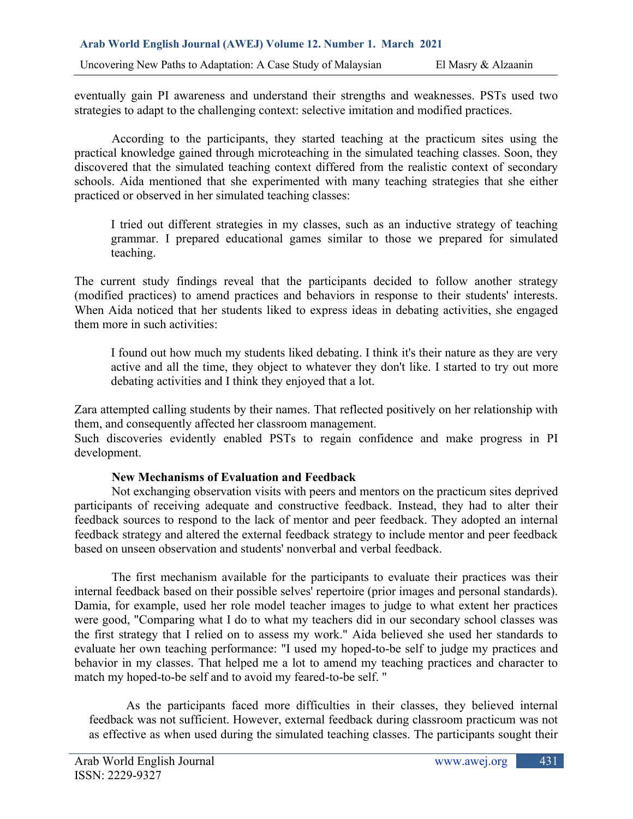eventually gain PI awareness and understand their strengths and weaknesses. PSTs used two strategies to adapt to the challenging context: selective imitation and modified practices.

According to the participants, they started teaching at the practicum sites using the practical knowledge gained through microteaching in the simulated teaching classes. Soon, they discovered that the simulated teaching context differed from the realistic context of secondary schools. Aida mentioned that she experimented with many teaching strategies that she either practiced or observed in her simulated teaching classes:

I tried out different strategies in my classes, such as an inductive strategy of teaching grammar. I prepared educational games similar to those we prepared for simulated teaching.

The current study findings reveal that the participants decided to follow another strategy (modified practices) to amend practices and behaviors in response to their students' interests. When Aida noticed that her students liked to express ideas in debating activities, she engaged them more in such activities:

I found out how much my students liked debating. I think it's their nature as they are very active and all the time, they object to whatever they don't like. I started to try out more debating activities and I think they enjoyed that a lot.

Zara attempted calling students by their names. That reflected positively on her relationship with them, and consequently affected her classroom management.

Such discoveries evidently enabled PSTs to regain confidence and make progress in PI development.

# **New Mechanisms of Evaluation and Feedback**

Not exchanging observation visits with peers and mentors on the practicum sites deprived participants of receiving adequate and constructive feedback. Instead, they had to alter their feedback sources to respond to the lack of mentor and peer feedback. They adopted an internal feedback strategy and altered the external feedback strategy to include mentor and peer feedback based on unseen observation and students' nonverbal and verbal feedback.

The first mechanism available for the participants to evaluate their practices was their internal feedback based on their possible selves' repertoire (prior images and personal standards). Damia, for example, used her role model teacher images to judge to what extent her practices were good, "Comparing what I do to what my teachers did in our secondary school classes was the first strategy that I relied on to assess my work." Aida believed she used her standards to evaluate her own teaching performance: "I used my hoped-to-be self to judge my practices and behavior in my classes. That helped me a lot to amend my teaching practices and character to match my hoped-to-be self and to avoid my feared-to-be self. "

As the participants faced more difficulties in their classes, they believed internal feedback was not sufficient. However, external feedback during classroom practicum was not as effective as when used during the simulated teaching classes. The participants sought their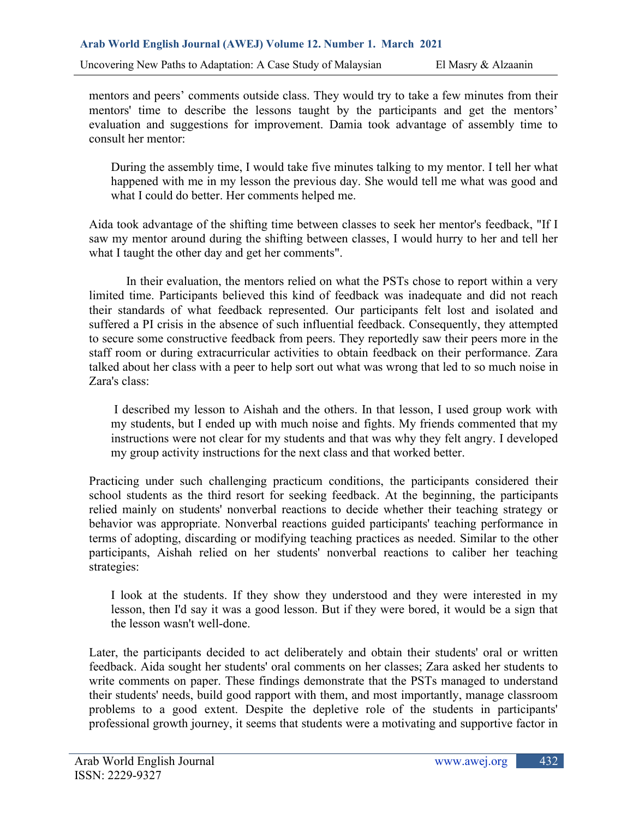mentors and peers' comments outside class. They would try to take a few minutes from their mentors' time to describe the lessons taught by the participants and get the mentors' evaluation and suggestions for improvement. Damia took advantage of assembly time to consult her mentor:

During the assembly time, I would take five minutes talking to my mentor. I tell her what happened with me in my lesson the previous day. She would tell me what was good and what I could do better. Her comments helped me.

Aida took advantage of the shifting time between classes to seek her mentor's feedback, "If I saw my mentor around during the shifting between classes, I would hurry to her and tell her what I taught the other day and get her comments".

In their evaluation, the mentors relied on what the PSTs chose to report within a very limited time. Participants believed this kind of feedback was inadequate and did not reach their standards of what feedback represented. Our participants felt lost and isolated and suffered a PI crisis in the absence of such influential feedback. Consequently, they attempted to secure some constructive feedback from peers. They reportedly saw their peers more in the staff room or during extracurricular activities to obtain feedback on their performance. Zara talked about her class with a peer to help sort out what was wrong that led to so much noise in Zara's class:

I described my lesson to Aishah and the others. In that lesson, I used group work with my students, but I ended up with much noise and fights. My friends commented that my instructions were not clear for my students and that was why they felt angry. I developed my group activity instructions for the next class and that worked better.

Practicing under such challenging practicum conditions, the participants considered their school students as the third resort for seeking feedback. At the beginning, the participants relied mainly on students' nonverbal reactions to decide whether their teaching strategy or behavior was appropriate. Nonverbal reactions guided participants' teaching performance in terms of adopting, discarding or modifying teaching practices as needed. Similar to the other participants, Aishah relied on her students' nonverbal reactions to caliber her teaching strategies:

I look at the students. If they show they understood and they were interested in my lesson, then I'd say it was a good lesson. But if they were bored, it would be a sign that the lesson wasn't well-done.

Later, the participants decided to act deliberately and obtain their students' oral or written feedback. Aida sought her students' oral comments on her classes; Zara asked her students to write comments on paper. These findings demonstrate that the PSTs managed to understand their students' needs, build good rapport with them, and most importantly, manage classroom problems to a good extent. Despite the depletive role of the students in participants' professional growth journey, it seems that students were a motivating and supportive factor in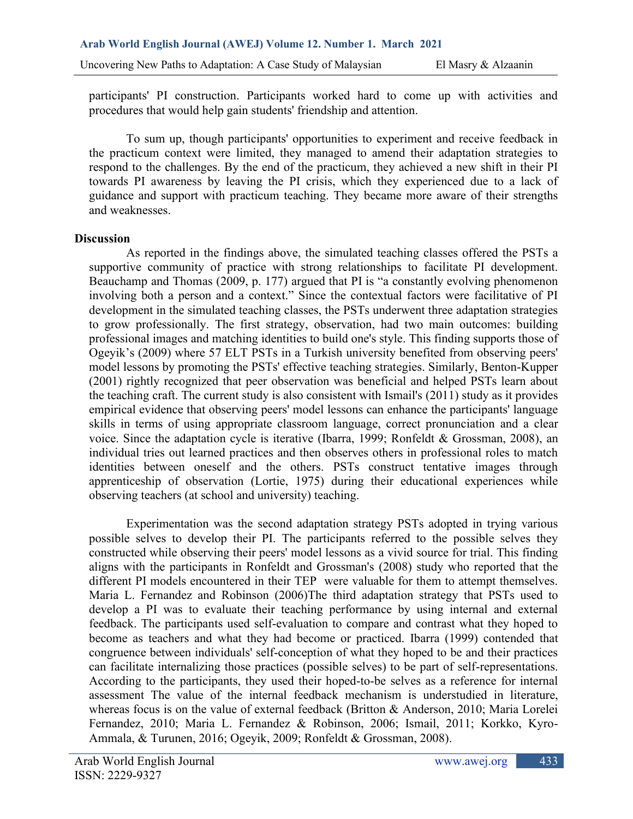participants' PI construction. Participants worked hard to come up with activities and procedures that would help gain students' friendship and attention.

To sum up, though participants' opportunities to experiment and receive feedback in the practicum context were limited, they managed to amend their adaptation strategies to respond to the challenges. By the end of the practicum, they achieved a new shift in their PI towards PI awareness by leaving the PI crisis, which they experienced due to a lack of guidance and support with practicum teaching. They became more aware of their strengths and weaknesses.

## **Discussion**

As reported in the findings above, the simulated teaching classes offered the PSTs a supportive community of practice with strong relationships to facilitate PI development. Beauchamp and Thomas (2009, p. 177) argued that PI is "a constantly evolving phenomenon involving both a person and a context." Since the contextual factors were facilitative of PI development in the simulated teaching classes, the PSTs underwent three adaptation strategies to grow professionally. The first strategy, observation, had two main outcomes: building professional images and matching identities to build one's style. This finding supports those of Ogeyik's (2009) where 57 ELT PSTs in a Turkish university benefited from observing peers' model lessons by promoting the PSTs' effective teaching strategies. Similarly, Benton-Kupper (2001) rightly recognized that peer observation was beneficial and helped PSTs learn about the teaching craft. The current study is also consistent with Ismail's (2011) study as it provides empirical evidence that observing peers' model lessons can enhance the participants' language skills in terms of using appropriate classroom language, correct pronunciation and a clear voice. Since the adaptation cycle is iterative (Ibarra, 1999; Ronfeldt & Grossman, 2008), an individual tries out learned practices and then observes others in professional roles to match identities between oneself and the others. PSTs construct tentative images through apprenticeship of observation (Lortie, 1975) during their educational experiences while observing teachers (at school and university) teaching.

Experimentation was the second adaptation strategy PSTs adopted in trying various possible selves to develop their PI. The participants referred to the possible selves they constructed while observing their peers' model lessons as a vivid source for trial. This finding aligns with the participants in Ronfeldt and Grossman's (2008) study who reported that the different PI models encountered in their TEP were valuable for them to attempt themselves. Maria L. Fernandez and Robinson (2006)The third adaptation strategy that PSTs used to develop a PI was to evaluate their teaching performance by using internal and external feedback. The participants used self-evaluation to compare and contrast what they hoped to become as teachers and what they had become or practiced. Ibarra (1999) contended that congruence between individuals' self-conception of what they hoped to be and their practices can facilitate internalizing those practices (possible selves) to be part of self-representations. According to the participants, they used their hoped-to-be selves as a reference for internal assessment The value of the internal feedback mechanism is understudied in literature, whereas focus is on the value of external feedback (Britton & Anderson, 2010; Maria Lorelei Fernandez, 2010; Maria L. Fernandez & Robinson, 2006; Ismail, 2011; Korkko, Kyro-Ammala, & Turunen, 2016; Ogeyik, 2009; Ronfeldt & Grossman, 2008).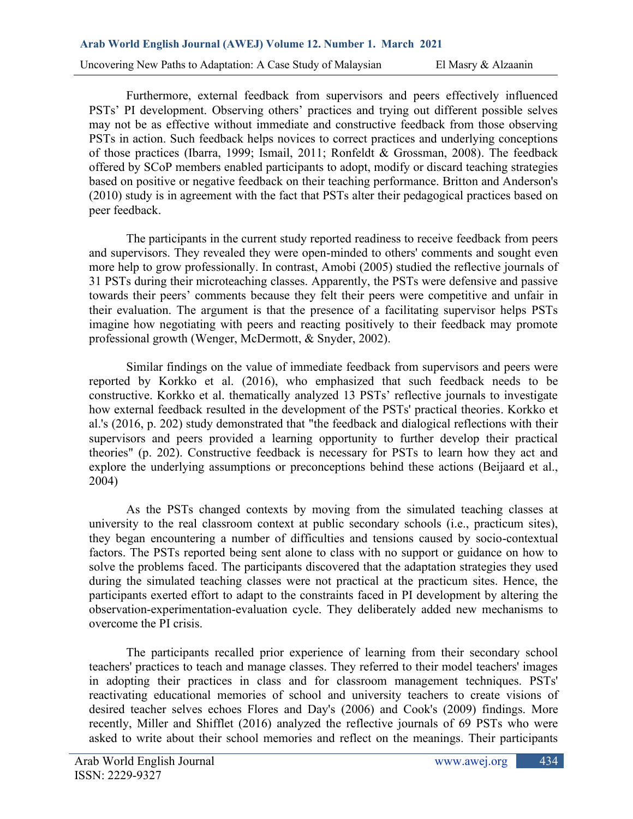Furthermore, external feedback from supervisors and peers effectively influenced PSTs' PI development. Observing others' practices and trying out different possible selves may not be as effective without immediate and constructive feedback from those observing PSTs in action. Such feedback helps novices to correct practices and underlying conceptions of those practices (Ibarra, 1999; Ismail, 2011; Ronfeldt & Grossman, 2008). The feedback offered by SCoP members enabled participants to adopt, modify or discard teaching strategies based on positive or negative feedback on their teaching performance. Britton and Anderson's (2010) study is in agreement with the fact that PSTs alter their pedagogical practices based on peer feedback.

The participants in the current study reported readiness to receive feedback from peers and supervisors. They revealed they were open-minded to others' comments and sought even more help to grow professionally. In contrast, Amobi (2005) studied the reflective journals of 31 PSTs during their microteaching classes. Apparently, the PSTs were defensive and passive towards their peers' comments because they felt their peers were competitive and unfair in their evaluation. The argument is that the presence of a facilitating supervisor helps PSTs imagine how negotiating with peers and reacting positively to their feedback may promote professional growth (Wenger, McDermott, & Snyder, 2002).

Similar findings on the value of immediate feedback from supervisors and peers were reported by Korkko et al. (2016), who emphasized that such feedback needs to be constructive. Korkko et al. thematically analyzed 13 PSTs' reflective journals to investigate how external feedback resulted in the development of the PSTs' practical theories. Korkko et al.'s (2016, p. 202) study demonstrated that "the feedback and dialogical reflections with their supervisors and peers provided a learning opportunity to further develop their practical theories" (p. 202). Constructive feedback is necessary for PSTs to learn how they act and explore the underlying assumptions or preconceptions behind these actions (Beijaard et al., 2004)

As the PSTs changed contexts by moving from the simulated teaching classes at university to the real classroom context at public secondary schools (i.e., practicum sites), they began encountering a number of difficulties and tensions caused by socio-contextual factors. The PSTs reported being sent alone to class with no support or guidance on how to solve the problems faced. The participants discovered that the adaptation strategies they used during the simulated teaching classes were not practical at the practicum sites. Hence, the participants exerted effort to adapt to the constraints faced in PI development by altering the observation-experimentation-evaluation cycle. They deliberately added new mechanisms to overcome the PI crisis.

The participants recalled prior experience of learning from their secondary school teachers' practices to teach and manage classes. They referred to their model teachers' images in adopting their practices in class and for classroom management techniques. PSTs' reactivating educational memories of school and university teachers to create visions of desired teacher selves echoes Flores and Day's (2006) and Cook's (2009) findings. More recently, Miller and Shifflet (2016) analyzed the reflective journals of 69 PSTs who were asked to write about their school memories and reflect on the meanings. Their participants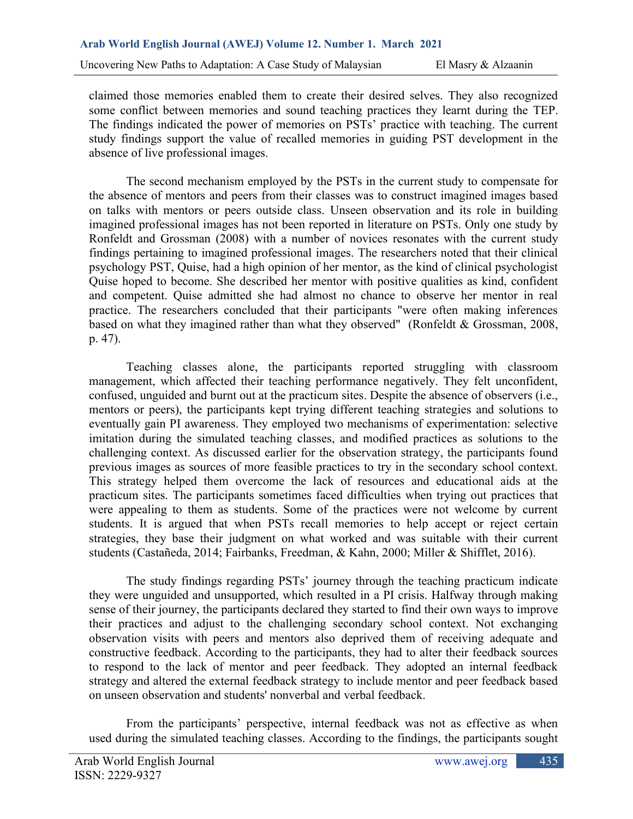claimed those memories enabled them to create their desired selves. They also recognized some conflict between memories and sound teaching practices they learnt during the TEP. The findings indicated the power of memories on PSTs' practice with teaching. The current study findings support the value of recalled memories in guiding PST development in the absence of live professional images.

The second mechanism employed by the PSTs in the current study to compensate for the absence of mentors and peers from their classes was to construct imagined images based on talks with mentors or peers outside class. Unseen observation and its role in building imagined professional images has not been reported in literature on PSTs. Only one study by Ronfeldt and Grossman (2008) with a number of novices resonates with the current study findings pertaining to imagined professional images. The researchers noted that their clinical psychology PST, Quise, had a high opinion of her mentor, as the kind of clinical psychologist Quise hoped to become. She described her mentor with positive qualities as kind, confident and competent. Quise admitted she had almost no chance to observe her mentor in real practice. The researchers concluded that their participants "were often making inferences based on what they imagined rather than what they observed" (Ronfeldt & Grossman, 2008, p. 47).

Teaching classes alone, the participants reported struggling with classroom management, which affected their teaching performance negatively. They felt unconfident, confused, unguided and burnt out at the practicum sites. Despite the absence of observers (i.e., mentors or peers), the participants kept trying different teaching strategies and solutions to eventually gain PI awareness. They employed two mechanisms of experimentation: selective imitation during the simulated teaching classes, and modified practices as solutions to the challenging context. As discussed earlier for the observation strategy, the participants found previous images as sources of more feasible practices to try in the secondary school context. This strategy helped them overcome the lack of resources and educational aids at the practicum sites. The participants sometimes faced difficulties when trying out practices that were appealing to them as students. Some of the practices were not welcome by current students. It is argued that when PSTs recall memories to help accept or reject certain strategies, they base their judgment on what worked and was suitable with their current students (Castañeda, 2014; Fairbanks, Freedman, & Kahn, 2000; Miller & Shifflet, 2016).

The study findings regarding PSTs' journey through the teaching practicum indicate they were unguided and unsupported, which resulted in a PI crisis. Halfway through making sense of their journey, the participants declared they started to find their own ways to improve their practices and adjust to the challenging secondary school context. Not exchanging observation visits with peers and mentors also deprived them of receiving adequate and constructive feedback. According to the participants, they had to alter their feedback sources to respond to the lack of mentor and peer feedback. They adopted an internal feedback strategy and altered the external feedback strategy to include mentor and peer feedback based on unseen observation and students' nonverbal and verbal feedback.

From the participants' perspective, internal feedback was not as effective as when used during the simulated teaching classes. According to the findings, the participants sought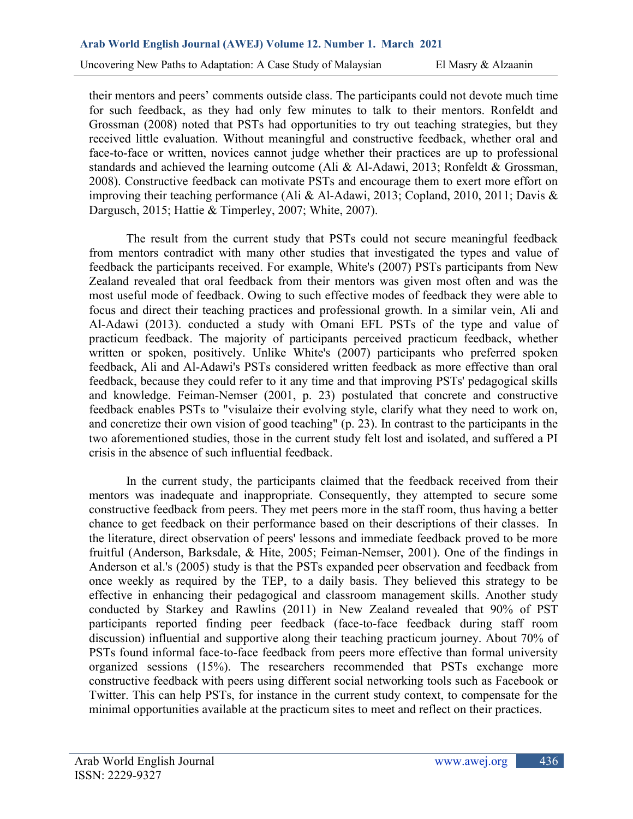their mentors and peers' comments outside class. The participants could not devote much time for such feedback, as they had only few minutes to talk to their mentors. Ronfeldt and Grossman (2008) noted that PSTs had opportunities to try out teaching strategies, but they received little evaluation. Without meaningful and constructive feedback, whether oral and face-to-face or written, novices cannot judge whether their practices are up to professional standards and achieved the learning outcome (Ali & Al-Adawi, 2013; Ronfeldt & Grossman, 2008). Constructive feedback can motivate PSTs and encourage them to exert more effort on improving their teaching performance (Ali & Al-Adawi, 2013; Copland, 2010, 2011; Davis & Dargusch, 2015; Hattie & Timperley, 2007; White, 2007).

The result from the current study that PSTs could not secure meaningful feedback from mentors contradict with many other studies that investigated the types and value of feedback the participants received. For example, White's (2007) PSTs participants from New Zealand revealed that oral feedback from their mentors was given most often and was the most useful mode of feedback. Owing to such effective modes of feedback they were able to focus and direct their teaching practices and professional growth. In a similar vein, Ali and Al-Adawi (2013). conducted a study with Omani EFL PSTs of the type and value of practicum feedback. The majority of participants perceived practicum feedback, whether written or spoken, positively. Unlike White's (2007) participants who preferred spoken feedback, Ali and Al-Adawi's PSTs considered written feedback as more effective than oral feedback, because they could refer to it any time and that improving PSTs' pedagogical skills and knowledge. Feiman-Nemser (2001, p. 23) postulated that concrete and constructive feedback enables PSTs to "visulaize their evolving style, clarify what they need to work on, and concretize their own vision of good teaching" (p. 23). In contrast to the participants in the two aforementioned studies, those in the current study felt lost and isolated, and suffered a PI crisis in the absence of such influential feedback.

In the current study, the participants claimed that the feedback received from their mentors was inadequate and inappropriate. Consequently, they attempted to secure some constructive feedback from peers. They met peers more in the staff room, thus having a better chance to get feedback on their performance based on their descriptions of their classes. In the literature, direct observation of peers' lessons and immediate feedback proved to be more fruitful (Anderson, Barksdale, & Hite, 2005; Feiman-Nemser, 2001). One of the findings in Anderson et al.'s (2005) study is that the PSTs expanded peer observation and feedback from once weekly as required by the TEP, to a daily basis. They believed this strategy to be effective in enhancing their pedagogical and classroom management skills. Another study conducted by Starkey and Rawlins (2011) in New Zealand revealed that 90% of PST participants reported finding peer feedback (face-to-face feedback during staff room discussion) influential and supportive along their teaching practicum journey. About 70% of PSTs found informal face-to-face feedback from peers more effective than formal university organized sessions (15%). The researchers recommended that PSTs exchange more constructive feedback with peers using different social networking tools such as Facebook or Twitter. This can help PSTs, for instance in the current study context, to compensate for the minimal opportunities available at the practicum sites to meet and reflect on their practices.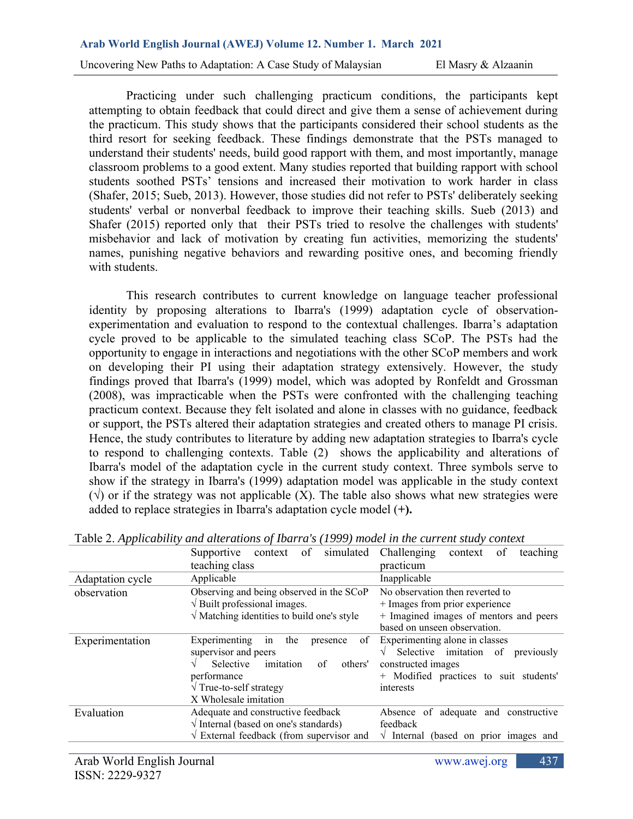Practicing under such challenging practicum conditions, the participants kept attempting to obtain feedback that could direct and give them a sense of achievement during the practicum. This study shows that the participants considered their school students as the third resort for seeking feedback. These findings demonstrate that the PSTs managed to understand their students' needs, build good rapport with them, and most importantly, manage classroom problems to a good extent. Many studies reported that building rapport with school students soothed PSTs' tensions and increased their motivation to work harder in class (Shafer, 2015; Sueb, 2013). However, those studies did not refer to PSTs' deliberately seeking students' verbal or nonverbal feedback to improve their teaching skills. Sueb (2013) and Shafer (2015) reported only that their PSTs tried to resolve the challenges with students' misbehavior and lack of motivation by creating fun activities, memorizing the students' names, punishing negative behaviors and rewarding positive ones, and becoming friendly with students.

This research contributes to current knowledge on language teacher professional identity by proposing alterations to Ibarra's (1999) adaptation cycle of observationexperimentation and evaluation to respond to the contextual challenges. Ibarra's adaptation cycle proved to be applicable to the simulated teaching class SCoP. The PSTs had the opportunity to engage in interactions and negotiations with the other SCoP members and work on developing their PI using their adaptation strategy extensively. However, the study findings proved that Ibarra's (1999) model, which was adopted by Ronfeldt and Grossman (2008), was impracticable when the PSTs were confronted with the challenging teaching practicum context. Because they felt isolated and alone in classes with no guidance, feedback or support, the PSTs altered their adaptation strategies and created others to manage PI crisis. Hence, the study contributes to literature by adding new adaptation strategies to Ibarra's cycle to respond to challenging contexts. Table (2) shows the applicability and alterations of Ibarra's model of the adaptation cycle in the current study context. Three symbols serve to show if the strategy in Ibarra's (1999) adaptation model was applicable in the study context  $(\sqrt{6})$  or if the strategy was not applicable (X). The table also shows what new strategies were added to replace strategies in Ibarra's adaptation cycle model (**+).**

|                  | of<br>simulated<br>Supportive<br>context                                                                                                                                                   | of<br>Challenging<br>teaching<br>context                                                                                                                          |  |
|------------------|--------------------------------------------------------------------------------------------------------------------------------------------------------------------------------------------|-------------------------------------------------------------------------------------------------------------------------------------------------------------------|--|
|                  | teaching class                                                                                                                                                                             | practicum                                                                                                                                                         |  |
| Adaptation cycle | Applicable                                                                                                                                                                                 | Inapplicable                                                                                                                                                      |  |
| observation      | Observing and being observed in the SCoP<br>$\sqrt{B}$ Built professional images.                                                                                                          | No observation then reverted to<br>+ Images from prior experience                                                                                                 |  |
|                  | $\sqrt{\frac{1}{1}}$ Matching identities to build one's style                                                                                                                              | + Imagined images of mentors and peers<br>based on unseen observation.                                                                                            |  |
| Experimentation  | Experimenting<br>the<br>of<br>in<br>presence<br>supervisor and peers<br>Selective<br>imitation<br>others'<br>of<br>performance<br>$\sqrt{T}$ rue-to-self strategy<br>X Wholesale imitation | Experimenting alone in classes<br>Selective imitation of<br>previously<br>$\sqrt{ }$<br>constructed images<br>+ Modified practices to suit students'<br>interests |  |
| Evaluation       | Adequate and constructive feedback<br>$\sqrt{}$ Internal (based on one's standards)                                                                                                        | Absence of adequate and constructive<br>feedback                                                                                                                  |  |
|                  | $\sqrt{\phantom{a}}$ External feedback (from supervisor and                                                                                                                                | $\sqrt{}$ Internal (based on prior images and                                                                                                                     |  |
|                  |                                                                                                                                                                                            |                                                                                                                                                                   |  |

Table 2. *Applicability and alterations of Ibarra's (1999) model in the current study context*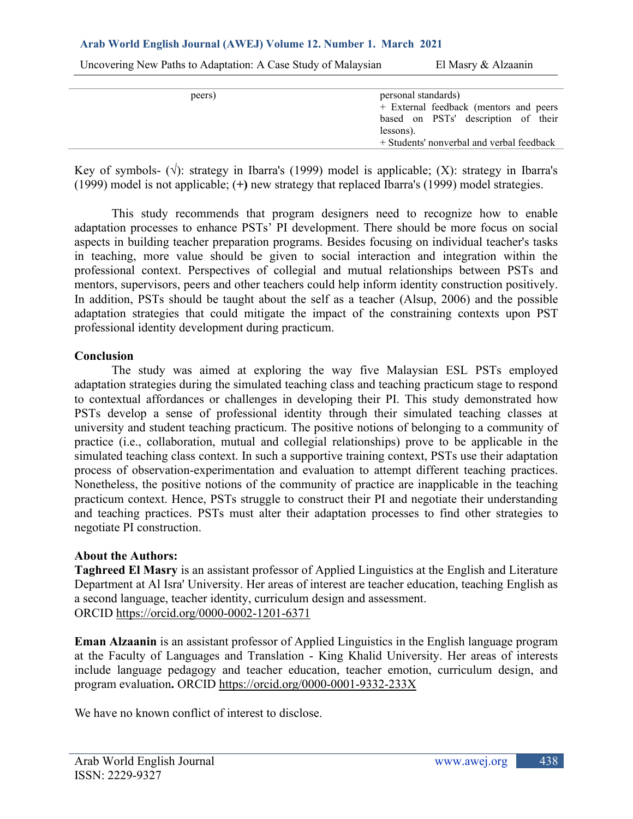Uncovering New Paths to Adaptation: A Case Study of Malaysian El Masry & Alzaanin

| peers) | personal standards)                       |
|--------|-------------------------------------------|
|        | + External feedback (mentors and peers    |
|        | based on PSTs' description of their       |
|        | lessons).                                 |
|        | + Students' nonverbal and verbal feedback |
|        |                                           |

Key of symbols-  $(\sqrt{a})$ : strategy in Ibarra's (1999) model is applicable; (X): strategy in Ibarra's (1999) model is not applicable; (**+)** new strategy that replaced Ibarra's (1999) model strategies.

This study recommends that program designers need to recognize how to enable adaptation processes to enhance PSTs' PI development. There should be more focus on social aspects in building teacher preparation programs. Besides focusing on individual teacher's tasks in teaching, more value should be given to social interaction and integration within the professional context. Perspectives of collegial and mutual relationships between PSTs and mentors, supervisors, peers and other teachers could help inform identity construction positively. In addition, PSTs should be taught about the self as a teacher (Alsup, 2006) and the possible adaptation strategies that could mitigate the impact of the constraining contexts upon PST professional identity development during practicum.

### **Conclusion**

The study was aimed at exploring the way five Malaysian ESL PSTs employed adaptation strategies during the simulated teaching class and teaching practicum stage to respond to contextual affordances or challenges in developing their PI. This study demonstrated how PSTs develop a sense of professional identity through their simulated teaching classes at university and student teaching practicum. The positive notions of belonging to a community of practice (i.e., collaboration, mutual and collegial relationships) prove to be applicable in the simulated teaching class context. In such a supportive training context, PSTs use their adaptation process of observation-experimentation and evaluation to attempt different teaching practices. Nonetheless, the positive notions of the community of practice are inapplicable in the teaching practicum context. Hence, PSTs struggle to construct their PI and negotiate their understanding and teaching practices. PSTs must alter their adaptation processes to find other strategies to negotiate PI construction.

## **About the Authors:**

**Taghreed El Masry** is an assistant professor of Applied Linguistics at the English and Literature Department at Al Isra' University. Her areas of interest are teacher education, teaching English as a second language, teacher identity, curriculum design and assessment. ORCID https://orcid.org/0000-0002-1201-6371

**Eman Alzaanin** is an assistant professor of Applied Linguistics in the English language program at the Faculty of Languages and Translation - King Khalid University. Her areas of interests include language pedagogy and teacher education, teacher emotion, curriculum design, and program evaluation**.** ORCID<https://orcid.org/0000-0001-9332-233X>

We have no known conflict of interest to disclose.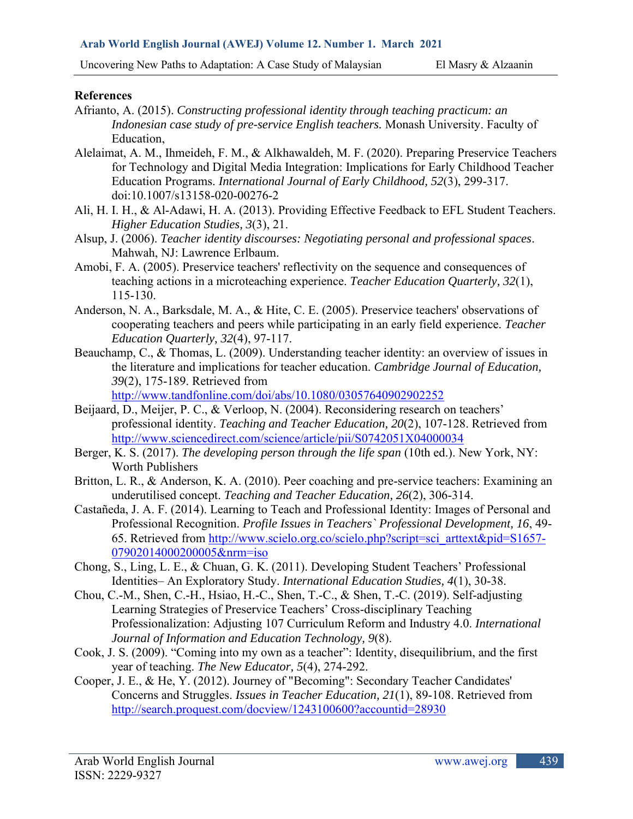## **References**

- Afrianto, A. (2015). *Constructing professional identity through teaching practicum: an Indonesian case study of pre-service English teachers.* Monash University. Faculty of Education,
- Alelaimat, A. M., Ihmeideh, F. M., & Alkhawaldeh, M. F. (2020). Preparing Preservice Teachers for Technology and Digital Media Integration: Implications for Early Childhood Teacher Education Programs. *International Journal of Early Childhood, 52*(3), 299-317. doi:10.1007/s13158-020-00276-2
- Ali, H. I. H., & Al-Adawi, H. A. (2013). Providing Effective Feedback to EFL Student Teachers. *Higher Education Studies, 3*(3), 21.
- Alsup, J. (2006). *Teacher identity discourses: Negotiating personal and professional spaces*. Mahwah, NJ: Lawrence Erlbaum.
- Amobi, F. A. (2005). Preservice teachers' reflectivity on the sequence and consequences of teaching actions in a microteaching experience. *Teacher Education Quarterly, 32*(1), 115-130.
- Anderson, N. A., Barksdale, M. A., & Hite, C. E. (2005). Preservice teachers' observations of cooperating teachers and peers while participating in an early field experience. *Teacher Education Quarterly, 32*(4), 97-117.
- Beauchamp, C., & Thomas, L. (2009). Understanding teacher identity: an overview of issues in the literature and implications for teacher education. *Cambridge Journal of Education, 39*(2), 175-189. Retrieved from

<http://www.tandfonline.com/doi/abs/10.1080/03057640902902252>

- Beijaard, D., Meijer, P. C., & Verloop, N. (2004). Reconsidering research on teachers' professional identity. *Teaching and Teacher Education, 20*(2), 107-128. Retrieved from <http://www.sciencedirect.com/science/article/pii/S0742051X04000034>
- Berger, K. S. (2017). *The developing person through the life span* (10th ed.). New York, NY: Worth Publishers
- Britton, L. R., & Anderson, K. A. (2010). Peer coaching and pre-service teachers: Examining an underutilised concept. *Teaching and Teacher Education, 26*(2), 306-314.
- Castañeda, J. A. F. (2014). Learning to Teach and Professional Identity: Images of Personal and Professional Recognition. *Profile Issues in Teachers` Professional Development, 16*, 49- 65. Retrieved from [http://www.scielo.org.co/scielo.php?script=sci\\_arttext&pid=S1657-](http://www.scielo.org.co/scielo.php?script=sci_arttext&pid=S1657-07902014000200005&nrm=iso) [07902014000200005&nrm=iso](http://www.scielo.org.co/scielo.php?script=sci_arttext&pid=S1657-07902014000200005&nrm=iso)
- Chong, S., Ling, L. E., & Chuan, G. K. (2011). Developing Student Teachers' Professional Identities– An Exploratory Study. *International Education Studies, 4*(1), 30-38.
- Chou, C.-M., Shen, C.-H., Hsiao, H.-C., Shen, T.-C., & Shen, T.-C. (2019). Self-adjusting Learning Strategies of Preservice Teachers' Cross-disciplinary Teaching Professionalization: Adjusting 107 Curriculum Reform and Industry 4.0. *International Journal of Information and Education Technology, 9*(8).
- Cook, J. S. (2009). "Coming into my own as a teacher": Identity, disequilibrium, and the first year of teaching. *The New Educator, 5*(4), 274-292.
- Cooper, J. E., & He, Y. (2012). Journey of "Becoming": Secondary Teacher Candidates' Concerns and Struggles. *Issues in Teacher Education, 21*(1), 89-108. Retrieved from <http://search.proquest.com/docview/1243100600?accountid=28930>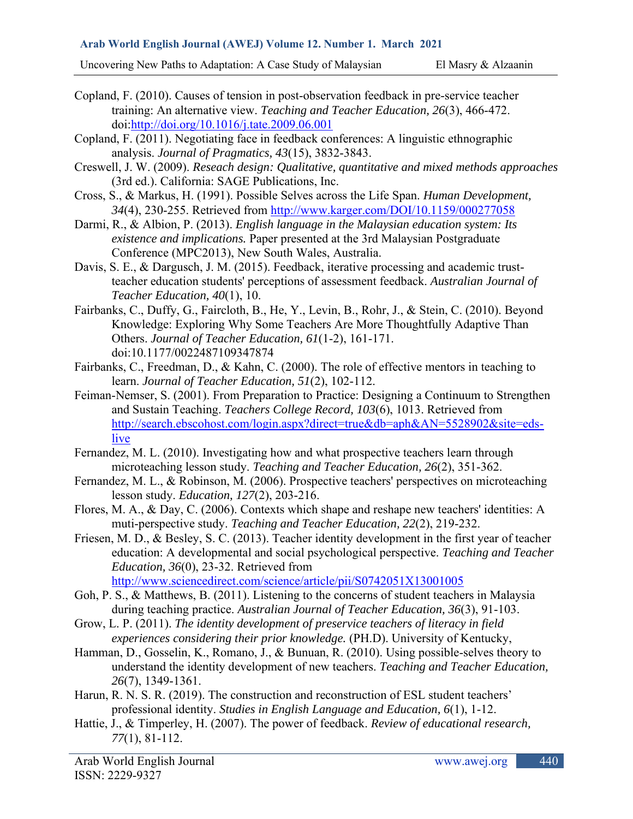Uncovering New Paths to Adaptation: A Case Study of Malaysian El Masry & Alzaanin

- Copland, F. (2010). Causes of tension in post-observation feedback in pre-service teacher training: An alternative view. *Teaching and Teacher Education, 26*(3), 466-472. doi[:http://doi.org/10.1016/j.tate.2009.06.001](http://doi.org/10.1016/j.tate.2009.06.001)
- Copland, F. (2011). Negotiating face in feedback conferences: A linguistic ethnographic analysis. *Journal of Pragmatics, 43*(15), 3832-3843.
- Creswell, J. W. (2009). *Reseach design: Qualitative, quantitative and mixed methods approaches* (3rd ed.). California: SAGE Publications, Inc.
- Cross, S., & Markus, H. (1991). Possible Selves across the Life Span. *Human Development, 34*(4), 230-255. Retrieved from<http://www.karger.com/DOI/10.1159/000277058>
- Darmi, R., & Albion, P. (2013). *English language in the Malaysian education system: Its existence and implications.* Paper presented at the 3rd Malaysian Postgraduate Conference (MPC2013), New South Wales, Australia.
- Davis, S. E., & Dargusch, J. M. (2015). Feedback, iterative processing and academic trustteacher education students' perceptions of assessment feedback. *Australian Journal of Teacher Education, 40*(1), 10.
- Fairbanks, C., Duffy, G., Faircloth, B., He, Y., Levin, B., Rohr, J., & Stein, C. (2010). Beyond Knowledge: Exploring Why Some Teachers Are More Thoughtfully Adaptive Than Others. *Journal of Teacher Education, 61*(1-2), 161-171. doi:10.1177/0022487109347874
- Fairbanks, C., Freedman, D., & Kahn, C. (2000). The role of effective mentors in teaching to learn. *Journal of Teacher Education, 51*(2), 102-112.
- Feiman-Nemser, S. (2001). From Preparation to Practice: Designing a Continuum to Strengthen and Sustain Teaching. *Teachers College Record, 103*(6), 1013. Retrieved from [http://search.ebscohost.com/login.aspx?direct=true&db=aph&AN=5528902&site=eds](http://search.ebscohost.com/login.aspx?direct=true&db=aph&AN=5528902&site=eds-live)[live](http://search.ebscohost.com/login.aspx?direct=true&db=aph&AN=5528902&site=eds-live)
- Fernandez, M. L. (2010). Investigating how and what prospective teachers learn through microteaching lesson study. *Teaching and Teacher Education, 26*(2), 351-362.
- Fernandez, M. L., & Robinson, M. (2006). Prospective teachers' perspectives on microteaching lesson study. *Education, 127*(2), 203-216.
- Flores, M. A., & Day, C. (2006). Contexts which shape and reshape new teachers' identities: A muti-perspective study. *Teaching and Teacher Education, 22*(2), 219-232.
- Friesen, M. D., & Besley, S. C. (2013). Teacher identity development in the first year of teacher education: A developmental and social psychological perspective. *Teaching and Teacher Education, 36*(0), 23-32. Retrieved from <http://www.sciencedirect.com/science/article/pii/S0742051X13001005>
- Goh, P. S., & Matthews, B. (2011). Listening to the concerns of student teachers in Malaysia during teaching practice. *Australian Journal of Teacher Education, 36*(3), 91-103.
- Grow, L. P. (2011). *The identity development of preservice teachers of literacy in field experiences considering their prior knowledge.* (PH.D). University of Kentucky,
- Hamman, D., Gosselin, K., Romano, J., & Bunuan, R. (2010). Using possible-selves theory to understand the identity development of new teachers. *Teaching and Teacher Education, 26*(7), 1349-1361.
- Harun, R. N. S. R. (2019). The construction and reconstruction of ESL student teachers' professional identity. *Studies in English Language and Education, 6*(1), 1-12.
- Hattie, J., & Timperley, H. (2007). The power of feedback. *Review of educational research, 77*(1), 81-112.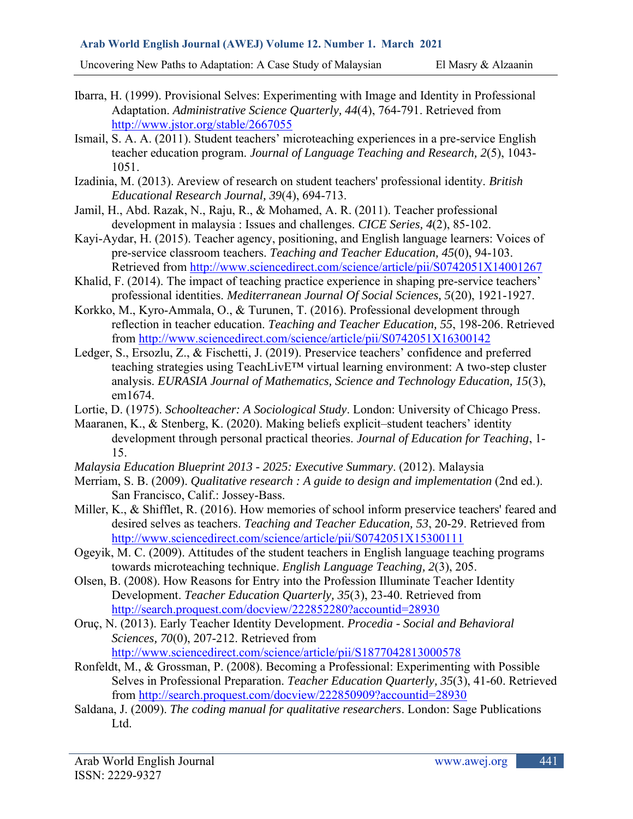Uncovering New Paths to Adaptation: A Case Study of Malaysian El Masry & Alzaanin

- Ibarra, H. (1999). Provisional Selves: Experimenting with Image and Identity in Professional Adaptation. *Administrative Science Quarterly, 44*(4), 764-791. Retrieved from <http://www.jstor.org/stable/2667055>
- Ismail, S. A. A. (2011). Student teachers' microteaching experiences in a pre-service English teacher education program. *Journal of Language Teaching and Research, 2*(5), 1043- 1051.
- Izadinia, M. (2013). Areview of research on student teachers' professional identity. *British Educational Research Journal, 39*(4), 694-713.
- Jamil, H., Abd. Razak, N., Raju, R., & Mohamed, A. R. (2011). Teacher professional development in malaysia : Issues and challenges. *CICE Series, 4*(2), 85-102.
- Kayi-Aydar, H. (2015). Teacher agency, positioning, and English language learners: Voices of pre-service classroom teachers. *Teaching and Teacher Education, 45*(0), 94-103. Retrieved from<http://www.sciencedirect.com/science/article/pii/S0742051X14001267>
- Khalid, F. (2014). The impact of teaching practice experience in shaping pre-service teachers' professional identities. *Mediterranean Journal Of Social Sciences, 5*(20), 1921-1927.
- Korkko, M., Kyro-Ammala, O., & Turunen, T. (2016). Professional development through reflection in teacher education. *Teaching and Teacher Education, 55*, 198-206. Retrieved from<http://www.sciencedirect.com/science/article/pii/S0742051X16300142>
- Ledger, S., Ersozlu, Z., & Fischetti, J. (2019). Preservice teachers' confidence and preferred teaching strategies using TeachLivE™ virtual learning environment: A two-step cluster analysis. *EURASIA Journal of Mathematics, Science and Technology Education, 15*(3), em1674.
- Lortie, D. (1975). *Schoolteacher: A Sociological Study*. London: University of Chicago Press.
- Maaranen, K., & Stenberg, K. (2020). Making beliefs explicit–student teachers' identity development through personal practical theories. *Journal of Education for Teaching*, 1- 15.
- *Malaysia Education Blueprint 2013 - 2025: Executive Summary*. (2012). Malaysia
- Merriam, S. B. (2009). *Qualitative research : A guide to design and implementation* (2nd ed.). San Francisco, Calif.: Jossey-Bass.
- Miller, K., & Shifflet, R. (2016). How memories of school inform preservice teachers' feared and desired selves as teachers. *Teaching and Teacher Education, 53*, 20-29. Retrieved from <http://www.sciencedirect.com/science/article/pii/S0742051X15300111>
- Ogeyik, M. C. (2009). Attitudes of the student teachers in English language teaching programs towards microteaching technique. *English Language Teaching, 2*(3), 205.
- Olsen, B. (2008). How Reasons for Entry into the Profession Illuminate Teacher Identity Development. *Teacher Education Quarterly, 35*(3), 23-40. Retrieved from <http://search.proquest.com/docview/222852280?accountid=28930>
- Oruç, N. (2013). Early Teacher Identity Development. *Procedia - Social and Behavioral Sciences, 70*(0), 207-212. Retrieved from <http://www.sciencedirect.com/science/article/pii/S1877042813000578>
- Ronfeldt, M., & Grossman, P. (2008). Becoming a Professional: Experimenting with Possible Selves in Professional Preparation. *Teacher Education Quarterly, 35*(3), 41-60. Retrieved from<http://search.proquest.com/docview/222850909?accountid=28930>
- Saldana, J. (2009). *The coding manual for qualitative researchers*. London: Sage Publications Ltd.